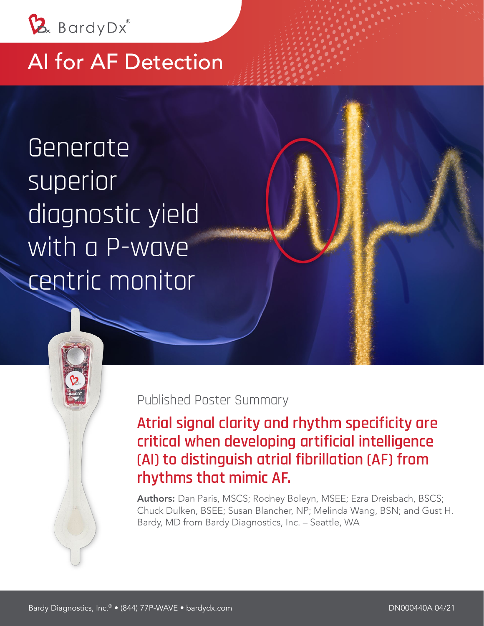

## AI for AF Detection

Generate superior diagnostic yield with a P-wave centric monitor



**Atrial signal clarity and rhythm specificity are critical when developing artificial intelligence (AI) to distinguish atrial fibrillation (AF) from rhythms that mimic AF.** 

Authors: Dan Paris, MSCS; Rodney Boleyn, MSEE; Ezra Dreisbach, BSCS; Chuck Dulken, BSEE; Susan Blancher, NP; Melinda Wang, BSN; and Gust H. Bardy, MD from Bardy Diagnostics, Inc. – Seattle, WA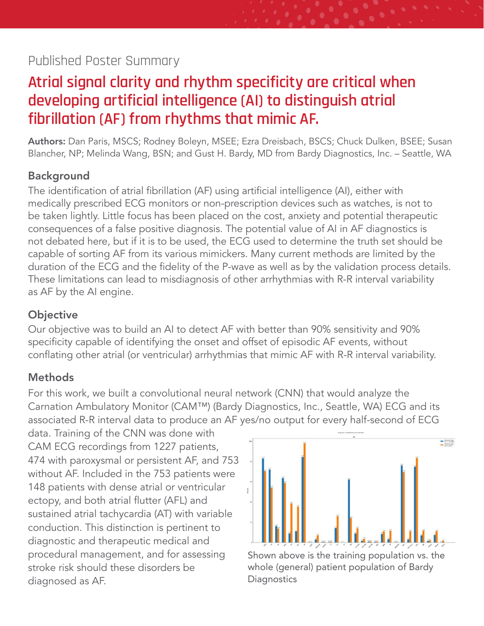#### Published Poster Summary

## **Atrial signal clarity and rhythm specificity are critical when developing artificial intelligence (AI) to distinguish atrial fibrillation (AF) from rhythms that mimic AF.**

Authors: Dan Paris, MSCS; Rodney Boleyn, MSEE; Ezra Dreisbach, BSCS; Chuck Dulken, BSEE; Susan Blancher, NP; Melinda Wang, BSN; and Gust H. Bardy, MD from Bardy Diagnostics, Inc. – Seattle, WA

#### Background

The identification of atrial fibrillation (AF) using artificial intelligence (AI), either with medically prescribed ECG monitors or non-prescription devices such as watches, is not to be taken lightly. Little focus has been placed on the cost, anxiety and potential therapeutic consequences of a false positive diagnosis. The potential value of AI in AF diagnostics is not debated here, but if it is to be used, the ECG used to determine the truth set should be capable of sorting AF from its various mimickers. Many current methods are limited by the duration of the ECG and the fidelity of the P-wave as well as by the validation process details. These limitations can lead to misdiagnosis of other arrhythmias with R-R interval variability as AF by the AI engine.

#### **Objective**

Our objective was to build an AI to detect AF with better than 90% sensitivity and 90% specificity capable of identifying the onset and offset of episodic AF events, without conflating other atrial (or ventricular) arrhythmias that mimic AF with R-R interval variability.

#### **Methods**

For this work, we built a convolutional neural network (CNN) that would analyze the Carnation Ambulatory Monitor (CAM™) (Bardy Diagnostics, Inc., Seattle, WA) ECG and its associated R-R interval data to produce an AF yes/no output for every half-second of ECG

data. Training of the CNN was done with CAM ECG recordings from 1227 patients, 474 with paroxysmal or persistent AF, and 753 without AF. Included in the 753 patients were 148 patients with dense atrial or ventricular ectopy, and both atrial flutter (AFL) and sustained atrial tachycardia (AT) with variable conduction. This distinction is pertinent to diagnostic and therapeutic medical and procedural management, and for assessing stroke risk should these disorders be diagnosed as AF.



Shown above is the training population vs. the whole (general) patient population of Bardy **Diagnostics**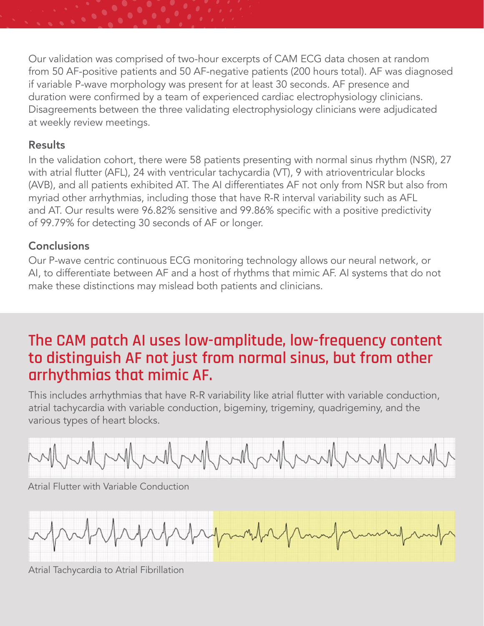Our validation was comprised of two-hour excerpts of CAM ECG data chosen at random from 50 AF-positive patients and 50 AF-negative patients (200 hours total). AF was diagnosed if variable P-wave morphology was present for at least 30 seconds. AF presence and duration were confirmed by a team of experienced cardiac electrophysiology clinicians. Disagreements between the three validating electrophysiology clinicians were adjudicated at weekly review meetings.

#### **Results**

In the validation cohort, there were 58 patients presenting with normal sinus rhythm (NSR), 27 with atrial flutter (AFL), 24 with ventricular tachycardia (VT), 9 with atrioventricular blocks (AVB), and all patients exhibited AT. The AI differentiates AF not only from NSR but also from myriad other arrhythmias, including those that have R-R interval variability such as AFL and AT. Our results were 96.82% sensitive and 99.86% specific with a positive predictivity of 99.79% for detecting 30 seconds of AF or longer.

#### **Conclusions**

Our P-wave centric continuous ECG monitoring technology allows our neural network, or AI, to differentiate between AF and a host of rhythms that mimic AF. AI systems that do not make these distinctions may mislead both patients and clinicians.

## **The CAM patch AI uses low-amplitude, low-frequency content to distinguish AF not just from normal sinus, but from other arrhythmias that mimic AF.**

This includes arrhythmias that have R-R variability like atrial flutter with variable conduction, atrial tachycardia with variable conduction, bigeminy, trigeminy, quadrigeminy, and the various types of heart blocks.



Atrial Flutter with Variable Conduction



Atrial Tachycardia to Atrial Fibrillation